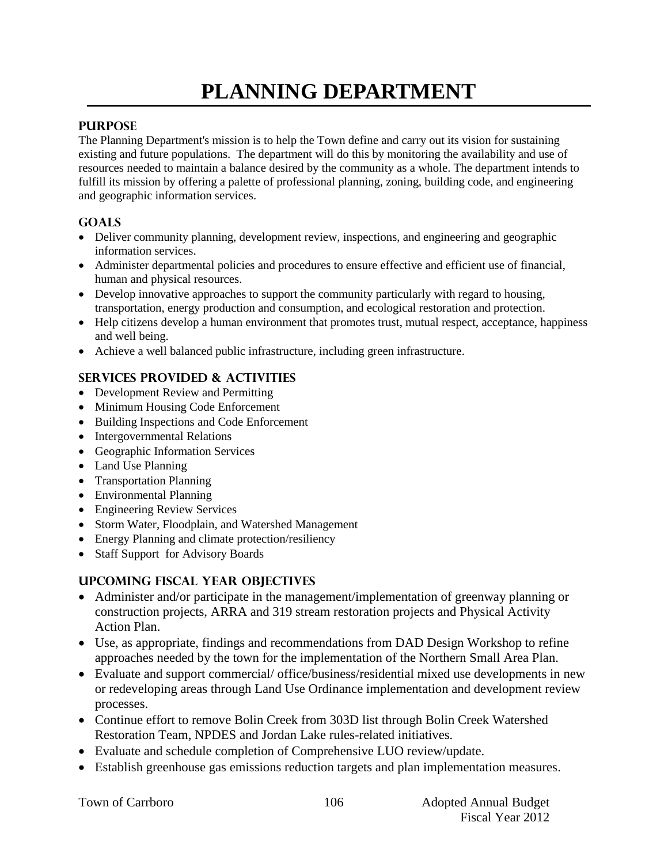# **PLANNING DEPARTMENT**

## **PURPOSE**

The Planning Department's mission is to help the Town define and carry out its vision for sustaining existing and future populations. The department will do this by monitoring the availability and use of resources needed to maintain a balance desired by the community as a whole. The department intends to fulfill its mission by offering a palette of professional planning, zoning, building code, and engineering and geographic information services.

# **GOALS**

- Deliver community planning, development review, inspections, and engineering and geographic information services.
- Administer departmental policies and procedures to ensure effective and efficient use of financial, human and physical resources.
- Develop innovative approaches to support the community particularly with regard to housing, transportation, energy production and consumption, and ecological restoration and protection.
- Help citizens develop a human environment that promotes trust, mutual respect, acceptance, happiness and well being.
- Achieve a well balanced public infrastructure, including green infrastructure.

# **SERVICES PROVIDED & ACTIVITIES**

- Development Review and Permitting
- Minimum Housing Code Enforcement
- Building Inspections and Code Enforcement
- Intergovernmental Relations
- Geographic Information Services
- Land Use Planning
- Transportation Planning
- Environmental Planning
- Engineering Review Services
- Storm Water, Floodplain, and Watershed Management
- Energy Planning and climate protection/resiliency
- Staff Support for Advisory Boards

# **UPCOMING FISCAL YEAR OBJECTIVES**

- Administer and/or participate in the management/implementation of greenway planning or construction projects, ARRA and 319 stream restoration projects and Physical Activity Action Plan.
- Use, as appropriate, findings and recommendations from DAD Design Workshop to refine approaches needed by the town for the implementation of the Northern Small Area Plan.
- Evaluate and support commercial/ office/business/residential mixed use developments in new or redeveloping areas through Land Use Ordinance implementation and development review processes.
- Continue effort to remove Bolin Creek from 303D list through Bolin Creek Watershed Restoration Team, NPDES and Jordan Lake rules-related initiatives.
- Evaluate and schedule completion of Comprehensive LUO review/update.
- Establish greenhouse gas emissions reduction targets and plan implementation measures.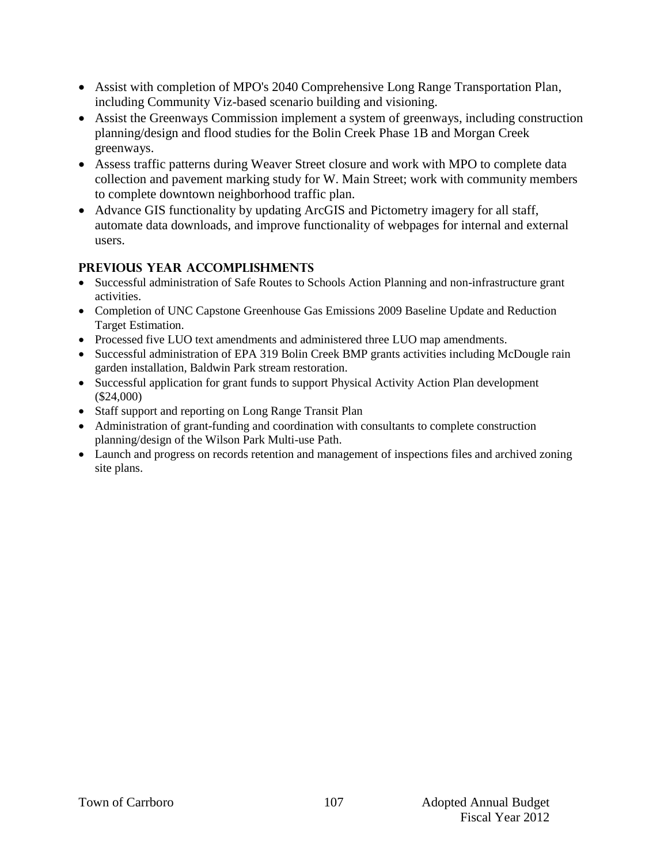- Assist with completion of MPO's 2040 Comprehensive Long Range Transportation Plan, including Community Viz-based scenario building and visioning.
- Assist the Greenways Commission implement a system of greenways, including construction planning/design and flood studies for the Bolin Creek Phase 1B and Morgan Creek greenways.
- Assess traffic patterns during Weaver Street closure and work with MPO to complete data collection and pavement marking study for W. Main Street; work with community members to complete downtown neighborhood traffic plan.
- Advance GIS functionality by updating ArcGIS and Pictometry imagery for all staff, automate data downloads, and improve functionality of webpages for internal and external users.

# **PREVIOUS YEAR ACCOMPLISHMENTS**

- Successful administration of Safe Routes to Schools Action Planning and non-infrastructure grant activities.
- Completion of UNC Capstone Greenhouse Gas Emissions 2009 Baseline Update and Reduction Target Estimation.
- Processed five LUO text amendments and administered three LUO map amendments.
- Successful administration of EPA 319 Bolin Creek BMP grants activities including McDougle rain garden installation, Baldwin Park stream restoration.
- Successful application for grant funds to support Physical Activity Action Plan development (\$24,000)
- Staff support and reporting on Long Range Transit Plan
- Administration of grant-funding and coordination with consultants to complete construction planning/design of the Wilson Park Multi-use Path.
- Launch and progress on records retention and management of inspections files and archived zoning site plans.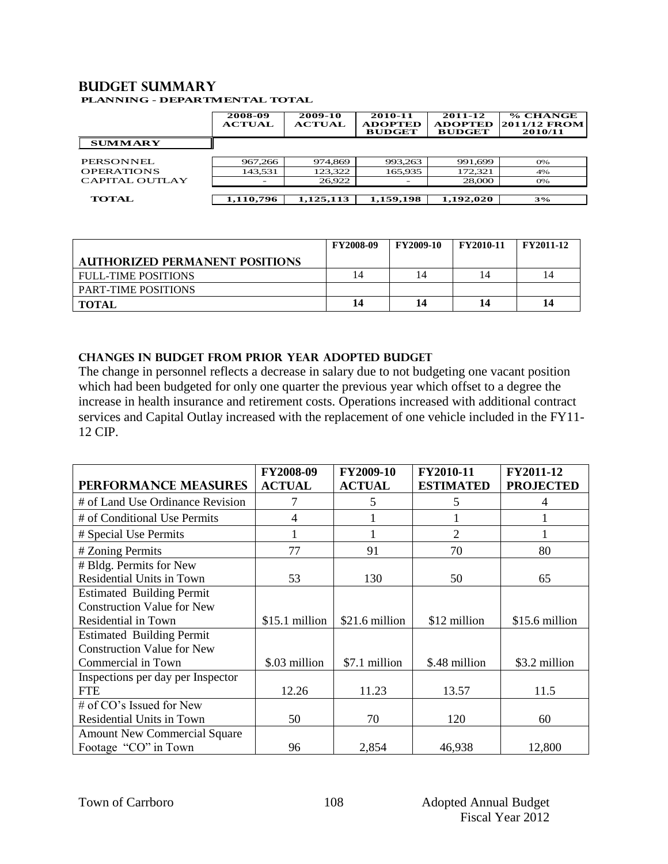#### **Budget summary PLANNING - DEPARTMENTAL TOTAL**

|                   | 2008-09<br><b>ACTUAL</b> | 2009-10<br><b>ACTUAL</b> | 2010-11<br><b>ADOPTED</b><br><b>BUDGET</b> | 2011-12<br><b>ADOPTED</b><br><b>BUDGET</b> | % CHANGE<br><b>2011/12 FROM</b><br>2010/11 |
|-------------------|--------------------------|--------------------------|--------------------------------------------|--------------------------------------------|--------------------------------------------|
| <b>SUMMARY</b>    |                          |                          |                                            |                                            |                                            |
| PERSONNEL         | 967,266                  | 974,869                  | 993,263                                    | 991.699                                    | 0%                                         |
| <b>OPERATIONS</b> | 143,531                  | 123,322                  | 165,935                                    | 172,321                                    | 4%                                         |
| CAPITAL OUTLAY    |                          | 26,922                   | -                                          | 28,000                                     | 0%                                         |
| <b>TOTAL</b>      | 1,110,796                | 1,125,113                | 1,159,198                                  | 1,192,020                                  | 3%                                         |

|                                       | <b>FY2008-09</b> | <b>FY2009-10</b> | <b>FY2010-11</b> | <b>FY2011-12</b> |
|---------------------------------------|------------------|------------------|------------------|------------------|
| <b>AUTHORIZED PERMANENT POSITIONS</b> |                  |                  |                  |                  |
| <b>FULL-TIME POSITIONS</b>            | 14               |                  | 14               | 14               |
| <b>PART-TIME POSITIONS</b>            |                  |                  |                  |                  |
| <b>TOTAL</b>                          | 14               | 14               | 14               | 14               |

## **CHANGES IN BUDGET from PRIOR YEAR ADOPTED BUDGET**

The change in personnel reflects a decrease in salary due to not budgeting one vacant position which had been budgeted for only one quarter the previous year which offset to a degree the increase in health insurance and retirement costs. Operations increased with additional contract services and Capital Outlay increased with the replacement of one vehicle included in the FY11- 12 CIP.

|                                     | FY2008-09      | FY2009-10      | FY2010-11        | FY2011-12        |
|-------------------------------------|----------------|----------------|------------------|------------------|
| PERFORMANCE MEASURES                | <b>ACTUAL</b>  | <b>ACTUAL</b>  | <b>ESTIMATED</b> | <b>PROJECTED</b> |
| # of Land Use Ordinance Revision    |                | 5              | 5                |                  |
| # of Conditional Use Permits        | 4              |                |                  |                  |
| # Special Use Permits               |                |                | $\overline{c}$   |                  |
| # Zoning Permits                    | 77             | 91             | 70               | 80               |
| # Bldg. Permits for New             |                |                |                  |                  |
| Residential Units in Town           | 53             | 130            | 50               | 65               |
| <b>Estimated Building Permit</b>    |                |                |                  |                  |
| <b>Construction Value for New</b>   |                |                |                  |                  |
| Residential in Town                 | \$15.1 million | \$21.6 million | \$12 million     | \$15.6 million   |
| <b>Estimated Building Permit</b>    |                |                |                  |                  |
| <b>Construction Value for New</b>   |                |                |                  |                  |
| Commercial in Town                  | \$.03 million  | \$7.1 million  | \$.48 million    | \$3.2 million    |
| Inspections per day per Inspector   |                |                |                  |                  |
| <b>FTE</b>                          | 12.26          | 11.23          | 13.57            | 11.5             |
| # of CO's Issued for New            |                |                |                  |                  |
| Residential Units in Town           | 50             | 70             | 120              | 60               |
| <b>Amount New Commercial Square</b> |                |                |                  |                  |
| Footage "CO" in Town                | 96             | 2,854          | 46,938           | 12,800           |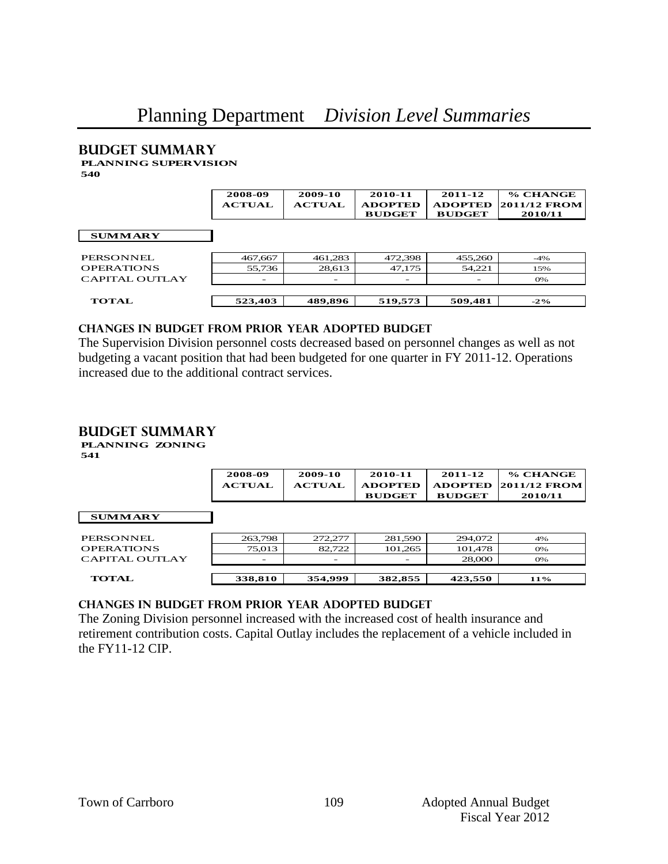#### **Budget summary PLANNING SUPERVISION**

**540**

|                   | 2008-09<br><b>ACTUAL</b> | 2009-10<br><b>ACTUAL</b> | 2010-11<br><b>ADOPTED</b><br><b>BUDGET</b> | 2011-12<br><b>ADOPTED</b><br><b>BUDGET</b> | % CHANGE<br><b>2011/12 FROM</b><br>2010/11 |
|-------------------|--------------------------|--------------------------|--------------------------------------------|--------------------------------------------|--------------------------------------------|
| <b>SUMMARY</b>    |                          |                          |                                            |                                            |                                            |
| PERSONNEL.        | 467,667                  | 461,283                  | 472,398                                    | 455,260                                    | $-4\%$                                     |
| <b>OPERATIONS</b> | 55,736                   | 28,613                   | 47,175                                     | 54,221                                     | 15%                                        |
| CAPITAL OUTLAY    |                          |                          |                                            |                                            | 0%                                         |
| <b>TOTAL</b>      | 523,403                  | 489,896                  | 519,573                                    | 509,481                                    | $-2\%$                                     |

## **changes in budget from prior year adopted budget**

The Supervision Division personnel costs decreased based on personnel changes as well as not budgeting a vacant position that had been budgeted for one quarter in FY 2011-12. Operations increased due to the additional contract services.

## **Budget summary**

**PLANNING ZONING 541**

|                   | 2008-09<br><b>ACTUAL</b> | 2009-10<br><b>ACTUAL</b> | 2010-11<br><b>ADOPTED</b><br><b>BUDGET</b> | 2011-12<br><b>ADOPTED</b><br><b>BUDGET</b> | % CHANGE<br>2011/12 FROM<br>2010/11 |
|-------------------|--------------------------|--------------------------|--------------------------------------------|--------------------------------------------|-------------------------------------|
| <b>SUMMARY</b>    |                          |                          |                                            |                                            |                                     |
| PERSONNEL.        | 263.798                  | 272,277                  | 281,590                                    | 294,072                                    | 4%                                  |
| <b>OPERATIONS</b> | 75,013                   | 82,722                   | 101,265                                    | 101,478                                    | 0%                                  |
| CAPITAL OUTLAY    | $\overline{\phantom{0}}$ |                          | $\overline{\phantom{0}}$                   | 28,000                                     | <b>O%</b>                           |
|                   |                          |                          |                                            |                                            |                                     |
| <b>TOTAL</b>      | 338,810                  | 354,999                  | 382,855                                    | 423,550                                    | $11\%$                              |

## **changes in budget from prior year adopted budget**

The Zoning Division personnel increased with the increased cost of health insurance and retirement contribution costs. Capital Outlay includes the replacement of a vehicle included in the FY11-12 CIP.